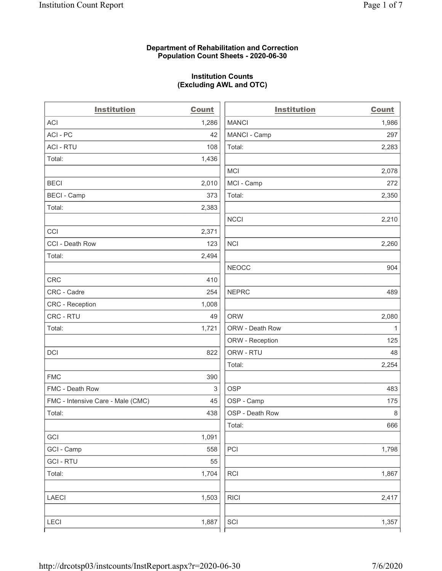#### Department of Rehabilitation and Correction Population Count Sheets - 2020-06-30

# Institution Counts (Excluding AWL and OTC)

. .

| <b>Institution</b>                | <b>Count</b> | <b>Institution</b> | <b>Count</b> |
|-----------------------------------|--------------|--------------------|--------------|
| <b>ACI</b>                        | 1,286        | <b>MANCI</b>       | 1,986        |
| ACI-PC                            | 42           | MANCI - Camp       | 297          |
| <b>ACI - RTU</b>                  | 108          | Total:             | 2,283        |
| Total:                            | 1,436        |                    |              |
|                                   |              | <b>MCI</b>         | 2,078        |
| <b>BECI</b>                       | 2,010        | MCI - Camp         | 272          |
| <b>BECI - Camp</b>                | 373          | Total:             | 2,350        |
| Total:                            | 2,383        |                    |              |
|                                   |              | <b>NCCI</b>        | 2,210        |
| CCI                               | 2,371        |                    |              |
| CCI - Death Row                   | 123          | <b>NCI</b>         | 2,260        |
| Total:                            | 2,494        |                    |              |
|                                   |              | <b>NEOCC</b>       | 904          |
| <b>CRC</b>                        | 410          |                    |              |
| CRC - Cadre                       | 254          | <b>NEPRC</b>       | 489          |
| CRC - Reception                   | 1,008        |                    |              |
| CRC - RTU                         | 49           | <b>ORW</b>         | 2,080        |
| Total:                            | 1,721        | ORW - Death Row    | $\mathbf{1}$ |
|                                   |              | ORW - Reception    | 125          |
| DCI                               | 822          | ORW - RTU          | 48           |
|                                   |              | Total:             | 2,254        |
| <b>FMC</b>                        | 390          |                    |              |
| FMC - Death Row                   | 3            | <b>OSP</b>         | 483          |
| FMC - Intensive Care - Male (CMC) | 45           | OSP - Camp         | 175          |
| Total:                            | 438          | OSP - Death Row    | 8            |
|                                   |              | Total:             | 666          |
| GCI                               | 1,091        |                    |              |
| GCI - Camp                        | 558          | PCI                | 1,798        |
| <b>GCI-RTU</b>                    | 55           |                    |              |
| Total:                            | 1,704        | <b>RCI</b>         | 1,867        |
| <b>LAECI</b>                      | 1,503        | <b>RICI</b>        | 2,417        |
| LECI                              | 1,887        | SCI                | 1,357        |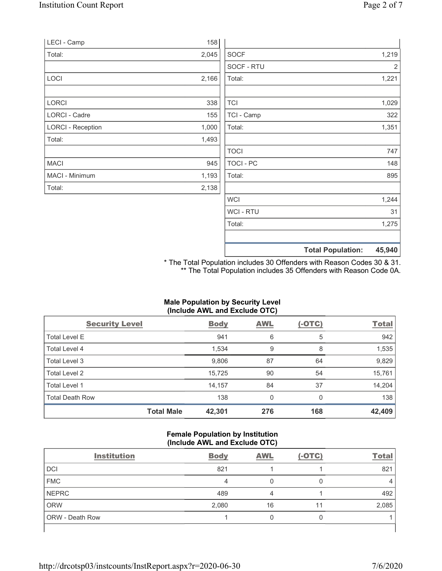| LECI - Camp              | 158   |             |       |
|--------------------------|-------|-------------|-------|
| Total:                   | 2,045 | <b>SOCF</b> | 1,219 |
|                          |       | SOCF - RTU  | 2     |
| LOCI                     | 2,166 | Total:      | 1,221 |
|                          |       |             |       |
| <b>LORCI</b>             | 338   | <b>TCI</b>  | 1,029 |
| <b>LORCI - Cadre</b>     | 155   | TCI - Camp  | 322   |
| <b>LORCI - Reception</b> | 1,000 | Total:      | 1,351 |
| Total:                   | 1,493 |             |       |
|                          |       | <b>TOCI</b> | 747   |
| <b>MACI</b>              | 945   | TOCI - PC   | 148   |
| MACI - Minimum           | 1,193 | Total:      | 895   |
| Total:                   | 2,138 |             |       |
|                          |       | <b>WCI</b>  | 1,244 |

Total Population: 45,940 \* The Total Population includes 30 Offenders with Reason Codes 30 & 31.

WCI - RTU 31 Total: 1,275

\*\* The Total Population includes 35 Offenders with Reason Code 0A.

## Male Population by Security Level (Include AWL and Exclude OTC)

| <b>Security Level</b>  | <b>Body</b> | <b>AWL</b> | $(-OTC)$ | <b>Total</b> |
|------------------------|-------------|------------|----------|--------------|
| <b>Total Level E</b>   | 941         | 6          | 5        | 942          |
| Total Level 4          | 1,534       | 9          | 8        | 1,535        |
| Total Level 3          | 9,806       | 87         | 64       | 9,829        |
| Total Level 2          | 15,725      | 90         | 54       | 15,761       |
| Total Level 1          | 14,157      | 84         | 37       | 14,204       |
| <b>Total Death Row</b> | 138         | 0          | $\Omega$ | 138          |
| <b>Total Male</b>      | 42,301      | 276        | 168      | 42,409       |

#### Female Population by Institution (Include AWL and Exclude OTC)

| <b>Institution</b> | <b>Body</b> | <b>AWL</b> | $(-OTC)$ | <b>Total</b> |
|--------------------|-------------|------------|----------|--------------|
| <b>DCI</b>         | 821         |            |          | 821          |
| <b>FMC</b>         | 4           |            |          |              |
| NEPRC              | 489         |            |          | 492          |
| ORW                | 2,080       | 16         | 11       | 2,085        |
| ORW - Death Row    |             |            |          |              |
|                    |             |            |          |              |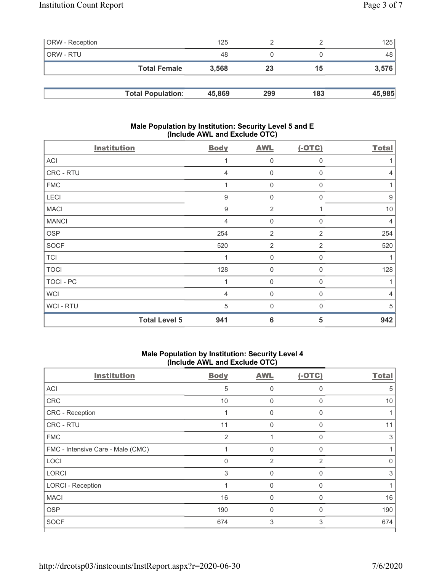| <b>ORW</b> - Reception |                          | 125    |     |     | 125    |
|------------------------|--------------------------|--------|-----|-----|--------|
| ORW - RTU              |                          | 48     |     |     | 48     |
|                        | <b>Total Female</b>      | 3,568  | 23  | 15  | 3,576  |
|                        |                          |        |     |     |        |
|                        | <b>Total Population:</b> | 45,869 | 299 | 183 | 45,985 |

### Male Population by Institution: Security Level 5 and E (Include AWL and Exclude OTC)

| <b>Institution</b>   | <b>Body</b>      | <b>AWL</b>       | $(-OTC)$         | <b>Total</b> |
|----------------------|------------------|------------------|------------------|--------------|
| ACI                  | 1                | 0                | $\mathbf 0$      |              |
| CRC - RTU            | 4                | $\boldsymbol{0}$ | $\mathbf 0$      | 4            |
| <b>FMC</b>           | 1                | $\mathsf 0$      | $\boldsymbol{0}$ |              |
| LECI                 | $\boldsymbol{9}$ | 0                | $\mathbf 0$      | 9            |
| <b>MACI</b>          | $\boldsymbol{9}$ | $\overline{2}$   | 1                | 10           |
| <b>MANCI</b>         | $\overline{4}$   | 0                | $\mathbf 0$      | 4            |
| <b>OSP</b>           | 254              | $\overline{2}$   | $\overline{2}$   | 254          |
| <b>SOCF</b>          | 520              | $\overline{2}$   | $\overline{2}$   | 520          |
| <b>TCI</b>           | $\overline{1}$   | $\boldsymbol{0}$ | $\mathbf 0$      |              |
| <b>TOCI</b>          | 128              | 0                | $\mathbf 0$      | 128          |
| TOCI - PC            | 1                | 0                | $\mathbf 0$      |              |
| <b>WCI</b>           | 4                | 0                | 0                | 4            |
| <b>WCI-RTU</b>       | 5                | $\mathbf 0$      | $\mathbf 0$      | 5            |
| <b>Total Level 5</b> | 941              | 6                | 5                | 942          |

## Male Population by Institution: Security Level 4 (Include AWL and Exclude OTC)

| <b>Institution</b>                | <b>Body</b>    | <b>AWL</b>     | $(-OTC)$ | <b>Total</b> |
|-----------------------------------|----------------|----------------|----------|--------------|
| <b>ACI</b>                        | 5              | $\mathbf 0$    | 0        | 5            |
| CRC                               | 10             | $\mathbf 0$    | 0        | 10           |
| <b>CRC</b> - Reception            |                | 0              | 0        |              |
| <b>CRC - RTU</b>                  | 11             | $\mathbf{0}$   | $\Omega$ | 11           |
| <b>FMC</b>                        | $\overline{2}$ |                | 0        | 3            |
| FMC - Intensive Care - Male (CMC) |                | $\Omega$       | 0        |              |
| LOCI                              | 0              | $\overline{2}$ | 2        | ∩            |
| <b>LORCI</b>                      | 3              | $\mathbf{0}$   | 0        | 3            |
| <b>LORCI - Reception</b>          |                | $\mathbf{0}$   | $\Omega$ |              |
| <b>MACI</b>                       | 16             | $\mathbf 0$    | 0        | 16           |
| <b>OSP</b>                        | 190            | $\mathbf{0}$   | 0        | 190          |
| <b>SOCF</b>                       | 674            | 3              | 3        | 674          |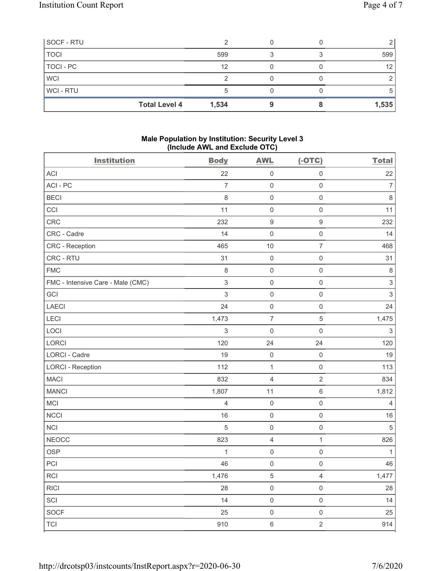| SOCF - RTU           |       |  |       |
|----------------------|-------|--|-------|
| <b>TOCI</b>          | 599   |  | 599   |
| TOCI - PC            | 12    |  |       |
| <b>WCI</b>           |       |  |       |
| WCI - RTU            |       |  |       |
| <b>Total Level 4</b> | 1,534 |  | 1,535 |

### Male Population by Institution: Security Level 3 (Include AWL and Exclude OTC)

| <b>Institution</b>                | <b>Body</b>               | <b>AWL</b>          | $(-OTC)$            | <b>Total</b>   |
|-----------------------------------|---------------------------|---------------------|---------------------|----------------|
| ACI                               | 22                        | $\mathsf{O}\xspace$ | $\mathbf 0$         | 22             |
| ACI-PC                            | $\overline{7}$            | $\mathsf 0$         | $\mathbf 0$         | $\overline{7}$ |
| <b>BECI</b>                       | 8                         | $\mathsf{O}\xspace$ | $\mathbf 0$         | $\,8\,$        |
| CCI                               | 11                        | $\mathsf 0$         | $\mathbf 0$         | 11             |
| CRC                               | 232                       | $\boldsymbol{9}$    | $\boldsymbol{9}$    | 232            |
| CRC - Cadre                       | 14                        | $\mbox{O}$          | $\mathbf 0$         | 14             |
| CRC - Reception                   | 465                       | 10                  | $\boldsymbol{7}$    | 468            |
| CRC - RTU                         | 31                        | $\mathsf{O}\xspace$ | $\mathbf 0$         | 31             |
| <b>FMC</b>                        | $\,8\,$                   | $\mathsf{O}\xspace$ | $\mathbf 0$         | $\,8\,$        |
| FMC - Intensive Care - Male (CMC) | $\ensuremath{\mathsf{3}}$ | $\mathsf{O}\xspace$ | $\mathbf 0$         | $\mathsf 3$    |
| GCI                               | $\mathsf 3$               | $\mbox{O}$          | $\mathbf 0$         | $\mathbf{3}$   |
| <b>LAECI</b>                      | 24                        | $\mathsf{O}\xspace$ | $\mathbf 0$         | 24             |
| LECI                              | 1,473                     | $\boldsymbol{7}$    | $\sqrt{5}$          | 1,475          |
| LOCI                              | $\sqrt{3}$                | $\mathbf 0$         | $\mathbf 0$         | $\,$ 3 $\,$    |
| LORCI                             | 120                       | 24                  | 24                  | 120            |
| LORCI - Cadre                     | 19                        | $\mathsf{O}\xspace$ | $\mathbf 0$         | 19             |
| <b>LORCI - Reception</b>          | 112                       | $\mathbf{1}$        | $\mathbf 0$         | 113            |
| <b>MACI</b>                       | 832                       | $\overline{4}$      | $\sqrt{2}$          | 834            |
| <b>MANCI</b>                      | 1,807                     | 11                  | $\,6\,$             | 1,812          |
| MCI                               | $\overline{4}$            | $\mathsf 0$         | $\mathbf 0$         | 4              |
| <b>NCCI</b>                       | 16                        | $\mathsf{O}\xspace$ | $\mathbf 0$         | 16             |
| <b>NCI</b>                        | 5                         | $\mathsf 0$         | $\mathbf 0$         | $\overline{5}$ |
| <b>NEOCC</b>                      | 823                       | $\overline{4}$      | $\mathbf{1}$        | 826            |
| <b>OSP</b>                        | 1                         | $\mathbf 0$         | $\mathbf 0$         | $\mathbf{1}$   |
| PCI                               | 46                        | $\mathsf 0$         | $\mathbf 0$         | 46             |
| RCI                               | 1,476                     | 5                   | 4                   | 1,477          |
| RICI                              | 28                        | $\mathsf{O}\xspace$ | $\mathbf 0$         | 28             |
| SCI                               | 14                        | $\mathsf{O}\xspace$ | $\mathsf{O}\xspace$ | 14             |
| <b>SOCF</b>                       | 25                        | $\mathsf 0$         | $\mathbf 0$         | 25             |
| <b>TCI</b>                        | 910                       | $\,6\,$             | $\overline{2}$      | 914            |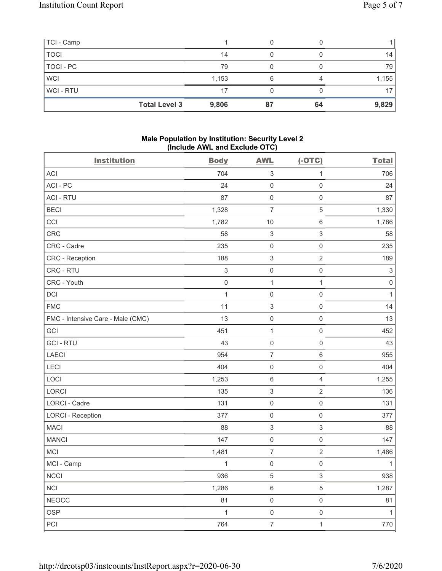| TCI - Camp           |       |    |       |
|----------------------|-------|----|-------|
| <b>TOCI</b>          | 14    |    | 14    |
| TOCI - PC            | 79    |    | 79    |
| <b>WCI</b>           | 1,153 |    | 1,155 |
| WCI-RTU              | 17    |    |       |
| <b>Total Level 3</b> | 9,806 | 64 | 9,829 |

### Male Population by Institution: Security Level 2 (Include AWL and Exclude OTC)

| <b>Institution</b>                | <b>Body</b> | <b>AWL</b>                | $(-OTC)$            | <b>Total</b>              |
|-----------------------------------|-------------|---------------------------|---------------------|---------------------------|
| ACI                               | 704         | $\ensuremath{\mathsf{3}}$ | 1                   | 706                       |
| ACI-PC                            | 24          | $\mathsf{O}\xspace$       | $\mathbf 0$         | 24                        |
| <b>ACI - RTU</b>                  | 87          | $\mathsf 0$               | $\mathbf 0$         | 87                        |
| <b>BECI</b>                       | 1,328       | $\overline{7}$            | $\sqrt{5}$          | 1,330                     |
| CCI                               | 1,782       | 10                        | $\,6\,$             | 1,786                     |
| CRC                               | 58          | $\,$ 3 $\,$               | $\sqrt{3}$          | 58                        |
| CRC - Cadre                       | 235         | $\mathsf 0$               | $\mathbf 0$         | 235                       |
| CRC - Reception                   | 188         | $\ensuremath{\mathsf{3}}$ | $\sqrt{2}$          | 189                       |
| CRC - RTU                         | $\sqrt{3}$  | $\mathsf{O}\xspace$       | $\mathbf 0$         | $\ensuremath{\mathsf{3}}$ |
| CRC - Youth                       | $\mathbf 0$ | $\mathbf{1}$              | $\mathbf{1}$        | $\mathbf 0$               |
| DCI                               | $\mathbf 1$ | $\mathsf 0$               | $\mathbf 0$         | $\mathbf{1}$              |
| <b>FMC</b>                        | 11          | $\,$ 3 $\,$               | $\mathbf 0$         | 14                        |
| FMC - Intensive Care - Male (CMC) | 13          | $\mathsf{O}\xspace$       | $\mathbf 0$         | 13                        |
| <b>GCI</b>                        | 451         | $\mathbf{1}$              | $\mathbf 0$         | 452                       |
| <b>GCI-RTU</b>                    | 43          | $\mathbf 0$               | $\mathsf{O}\xspace$ | 43                        |
| LAECI                             | 954         | $\boldsymbol{7}$          | $\,6\,$             | 955                       |
| LECI                              | 404         | $\mathsf{O}\xspace$       | $\mathbf 0$         | 404                       |
| LOCI                              | 1,253       | $\,6\,$                   | $\overline{4}$      | 1,255                     |
| LORCI                             | 135         | $\,$ 3 $\,$               | $\sqrt{2}$          | 136                       |
| LORCI - Cadre                     | 131         | $\mathsf{O}\xspace$       | $\mathbf 0$         | 131                       |
| <b>LORCI - Reception</b>          | 377         | $\mathsf{O}\xspace$       | $\mathbf 0$         | 377                       |
| <b>MACI</b>                       | 88          | $\sqrt{3}$                | $\sqrt{3}$          | 88                        |
| <b>MANCI</b>                      | 147         | $\mathsf 0$               | $\mathbf 0$         | 147                       |
| MCI                               | 1,481       | $\boldsymbol{7}$          | $\sqrt{2}$          | 1,486                     |
| MCI - Camp                        | 1           | $\mathsf 0$               | $\mathbf 0$         | 1                         |
| <b>NCCI</b>                       | 936         | 5                         | 3                   | 938                       |
| <b>NCI</b>                        | 1,286       | $\,6\,$                   | $\,$ 5 $\,$         | 1,287                     |
| <b>NEOCC</b>                      | 81          | $\mathsf{O}\xspace$       | $\mathsf{O}\xspace$ | 81                        |
| <b>OSP</b>                        | $\mathbf 1$ | $\mathsf 0$               | $\mathsf{O}\xspace$ | $\mathbf{1}$              |
| PCI                               | 764         | $\overline{7}$            | $\mathbf{1}$        | 770                       |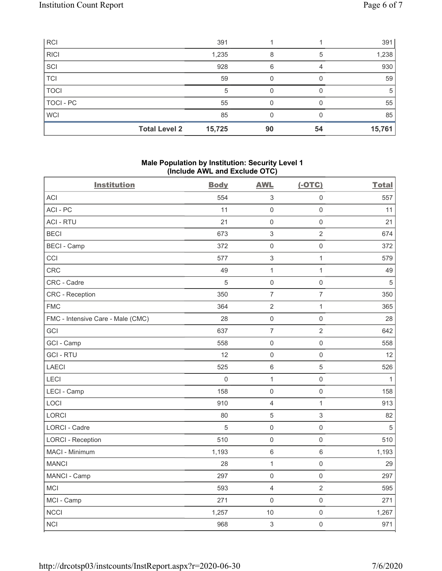| RCI                  | 391    |    |    | 391    |
|----------------------|--------|----|----|--------|
| RICI                 | 1,235  |    | 5  | 1,238  |
| $ _{\rm SCI}$        | 928    | ิค |    | 930    |
| <b>TCI</b>           | 59     |    |    | 59     |
| <b>TOCI</b>          |        |    |    |        |
| TOCI-PC              | 55     |    |    | 55     |
| WCI                  | 85     |    |    | 85     |
| <b>Total Level 2</b> | 15,725 | 90 | 54 | 15,761 |

## Male Population by Institution: Security Level 1 (Include AWL and Exclude OTC)

| <b>Institution</b>                | <b>Body</b> | <b>AWL</b>                | $(-OTC)$                 | <b>Total</b>   |
|-----------------------------------|-------------|---------------------------|--------------------------|----------------|
| <b>ACI</b>                        | 554         | $\ensuremath{\mathsf{3}}$ | $\mathbf 0$              | 557            |
| ACI-PC                            | 11          | $\mathsf{O}\xspace$       | $\mathsf{O}\xspace$      | 11             |
| <b>ACI - RTU</b>                  | 21          | $\mathsf{O}\xspace$       | $\mathbf 0$              | 21             |
| <b>BECI</b>                       | 673         | $\,$ 3 $\,$               | $\sqrt{2}$               | 674            |
| <b>BECI - Camp</b>                | 372         | $\mathsf{O}\xspace$       | $\mathbf 0$              | 372            |
| CCI                               | 577         | $\sqrt{3}$                | $\mathbf{1}$             | 579            |
| CRC                               | 49          | $\mathbf{1}$              | $\mathbf{1}$             | 49             |
| CRC - Cadre                       | 5           | $\mathsf{O}\xspace$       | $\mathbf 0$              | $\overline{5}$ |
| <b>CRC</b> - Reception            | 350         | $\overline{\mathcal{I}}$  | $\overline{\mathcal{I}}$ | 350            |
| <b>FMC</b>                        | 364         | $\overline{2}$            | $\mathbf{1}$             | 365            |
| FMC - Intensive Care - Male (CMC) | 28          | $\mathsf{O}\xspace$       | $\mathbf 0$              | 28             |
| GCI                               | 637         | $\overline{7}$            | $\overline{2}$           | 642            |
| GCI - Camp                        | 558         | $\mathsf 0$               | $\mathbf 0$              | 558            |
| <b>GCI-RTU</b>                    | 12          | $\mathsf{O}\xspace$       | $\mathsf{O}\xspace$      | 12             |
| <b>LAECI</b>                      | 525         | $\,6\,$                   | 5                        | 526            |
| LECI                              | $\mathbf 0$ | $\mathbf{1}$              | $\mathsf 0$              | 1              |
| LECI - Camp                       | 158         | $\mathsf 0$               | $\mathbf 0$              | 158            |
| LOCI                              | 910         | $\overline{4}$            | 1                        | 913            |
| <b>LORCI</b>                      | 80          | 5                         | 3                        | 82             |
| <b>LORCI - Cadre</b>              | 5           | $\mathsf{O}\xspace$       | $\mathbf 0$              | 5              |
| <b>LORCI - Reception</b>          | 510         | $\mathsf{O}\xspace$       | $\mathbf 0$              | 510            |
| MACI - Minimum                    | 1,193       | $\,6$                     | $\,6\,$                  | 1,193          |
| <b>MANCI</b>                      | 28          | $\mathbf{1}$              | $\mathbf 0$              | 29             |
| MANCI - Camp                      | 297         | $\mathsf 0$               | $\mathbf 0$              | 297            |
| MCI                               | 593         | $\overline{4}$            | $\sqrt{2}$               | 595            |
| MCI - Camp                        | 271         | $\mathsf 0$               | $\mathbf 0$              | 271            |
| <b>NCCI</b>                       | 1,257       | 10                        | $\mathbf 0$              | 1,267          |
| <b>NCI</b>                        | 968         | $\mathfrak{S}$            | $\mathsf{O}\xspace$      | 971            |